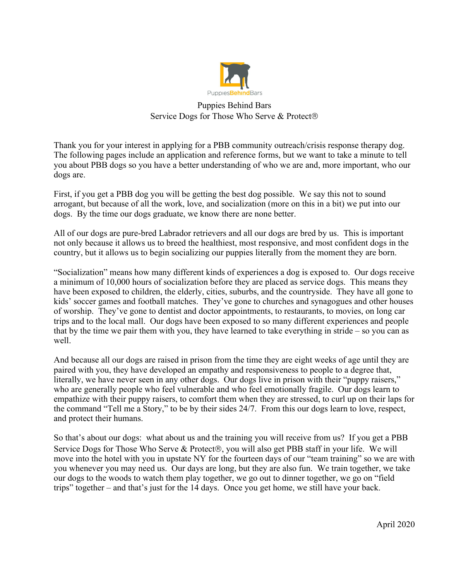

Puppies Behind Bars Service Dogs for Those Who Serve & Protect®

Thank you for your interest in applying for a PBB community outreach/crisis response therapy dog. The following pages include an application and reference forms, but we want to take a minute to tell you about PBB dogs so you have a better understanding of who we are and, more important, who our dogs are.

First, if you get a PBB dog you will be getting the best dog possible. We say this not to sound arrogant, but because of all the work, love, and socialization (more on this in a bit) we put into our dogs. By the time our dogs graduate, we know there are none better.

All of our dogs are pure-bred Labrador retrievers and all our dogs are bred by us. This is important not only because it allows us to breed the healthiest, most responsive, and most confident dogs in the country, but it allows us to begin socializing our puppies literally from the moment they are born.

"Socialization" means how many different kinds of experiences a dog is exposed to. Our dogs receive a minimum of 10,000 hours of socialization before they are placed as service dogs. This means they have been exposed to children, the elderly, cities, suburbs, and the countryside. They have all gone to kids' soccer games and football matches. They've gone to churches and synagogues and other houses of worship. They've gone to dentist and doctor appointments, to restaurants, to movies, on long car trips and to the local mall. Our dogs have been exposed to so many different experiences and people that by the time we pair them with you, they have learned to take everything in stride – so you can as well.

And because all our dogs are raised in prison from the time they are eight weeks of age until they are paired with you, they have developed an empathy and responsiveness to people to a degree that, literally, we have never seen in any other dogs. Our dogs live in prison with their "puppy raisers," who are generally people who feel vulnerable and who feel emotionally fragile. Our dogs learn to empathize with their puppy raisers, to comfort them when they are stressed, to curl up on their laps for the command "Tell me a Story," to be by their sides 24/7. From this our dogs learn to love, respect, and protect their humans.

So that's about our dogs: what about us and the training you will receive from us? If you get a PBB Service Dogs for Those Who Serve & Protect<sup>®</sup>, you will also get PBB staff in your life. We will move into the hotel with you in upstate NY for the fourteen days of our "team training" so we are with you whenever you may need us. Our days are long, but they are also fun. We train together, we take our dogs to the woods to watch them play together, we go out to dinner together, we go on "field trips" together – and that's just for the 14 days. Once you get home, we still have your back.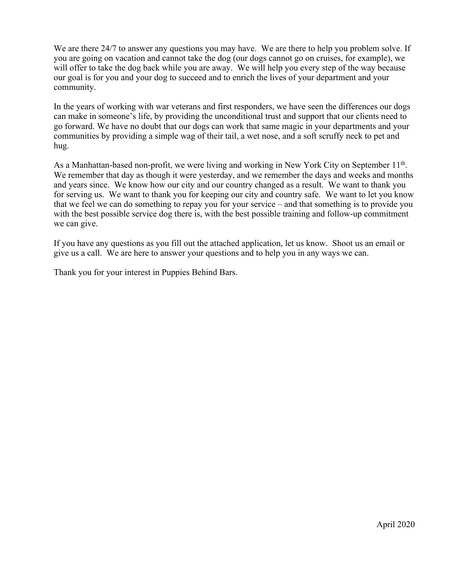We are there 24/7 to answer any questions you may have. We are there to help you problem solve. If you are going on vacation and cannot take the dog (our dogs cannot go on cruises, for example), we will offer to take the dog back while you are away. We will help you every step of the way because our goal is for you and your dog to succeed and to enrich the lives of your department and your community.

In the years of working with war veterans and first responders, we have seen the differences our dogs can make in someone's life, by providing the unconditional trust and support that our clients need to go forward. We have no doubt that our dogs can work that same magic in your departments and your communities by providing a simple wag of their tail, a wet nose, and a soft scruffy neck to pet and hug.

As a Manhattan-based non-profit, we were living and working in New York City on September 11<sup>th</sup>. We remember that day as though it were yesterday, and we remember the days and weeks and months and years since. We know how our city and our country changed as a result. We want to thank you for serving us. We want to thank you for keeping our city and country safe. We want to let you know that we feel we can do something to repay you for your service – and that something is to provide you with the best possible service dog there is, with the best possible training and follow-up commitment we can give.

If you have any questions as you fill out the attached application, let us know. Shoot us an email or give us a call. We are here to answer your questions and to help you in any ways we can.

Thank you for your interest in Puppies Behind Bars.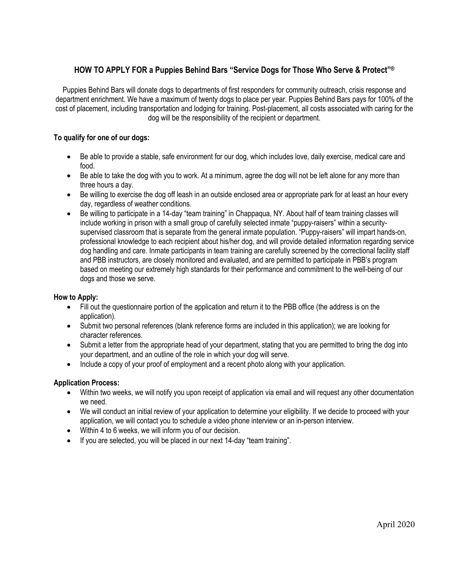## **HOW TO APPLY FOR a Puppies Behind Bars "Service Dogs for Those Who Serve & Protect"®**

Puppies Behind Bars will donate dogs to departments of first responders for community outreach, crisis response and department enrichment. We have a maximum of twenty dogs to place per year. Puppies Behind Bars pays for 100% of the cost of placement, including transportation and lodging for training. Post-placement, all costs associated with caring for the dog will be the responsibility of the recipient or department.

### **To qualify for one of our dogs:**

- Be able to provide a stable, safe environment for our dog, which includes love, daily exercise, medical care and food.
- Be able to take the dog with you to work. At a minimum, agree the dog will not be left alone for any more than three hours a day.
- Be willing to exercise the dog off leash in an outside enclosed area or appropriate park for at least an hour every day, regardless of weather conditions.
- Be willing to participate in a 14-day "team training" in Chappaqua, NY. About half of team training classes will include working in prison with a small group of carefully selected inmate "puppy-raisers" within a securitysupervised classroom that is separate from the general inmate population. "Puppy-raisers" will impart hands-on, professional knowledge to each recipient about his/her dog, and will provide detailed information regarding service dog handling and care. Inmate participants in team training are carefully screened by the correctional facility staff and PBB instructors, are closely monitored and evaluated, and are permitted to participate in PBB's program based on meeting our extremely high standards for their performance and commitment to the well-being of our dogs and those we serve.

### **How to Apply:**

- Fill out the questionnaire portion of the application and return it to the PBB office (the address is on the application).
- Submit two personal references (blank reference forms are included in this application); we are looking for character references.
- Submit a letter from the appropriate head of your department, stating that you are permitted to bring the dog into your department, and an outline of the role in which your dog will serve.
- Include a copy of your proof of employment and a recent photo along with your application.

### **Application Process:**

- Within two weeks, we will notify you upon receipt of application via email and will request any other documentation we need.
- We will conduct an initial review of your application to determine your eligibility. If we decide to proceed with your application, we will contact you to schedule a video phone interview or an in-person interview.
- Within 4 to 6 weeks, we will inform you of our decision.
- If you are selected, you will be placed in our next 14-day "team training".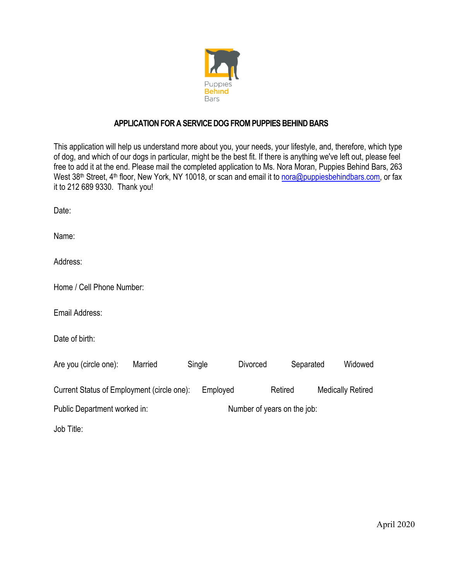

### **APPLICATION FOR A SERVICE DOG FROM PUPPIES BEHIND BARS**

This application will help us understand more about you, your needs, your lifestyle, and, therefore, which type of dog, and which of our dogs in particular, might be the best fit. If there is anything we've left out, please feel free to add it at the end. Please mail the completed application to Ms. Nora Moran, Puppies Behind Bars, 263 West 38<sup>th</sup> Street, 4<sup>th</sup> floor, New York, NY 10018, or scan and email it to nora@puppiesbehindbars.com, or fax it to 212 689 9330. Thank you!

Date:

Name:

Address:

Home / Cell Phone Number:

Email Address:

Date of birth:

| Are you (circle one):                      | Married |                             | Single   | Divorced | Separated | Widowed                  |
|--------------------------------------------|---------|-----------------------------|----------|----------|-----------|--------------------------|
| Current Status of Employment (circle one): |         |                             | Employed |          | Retired   | <b>Medically Retired</b> |
| Public Department worked in:               |         | Number of years on the job: |          |          |           |                          |
| Job Title:                                 |         |                             |          |          |           |                          |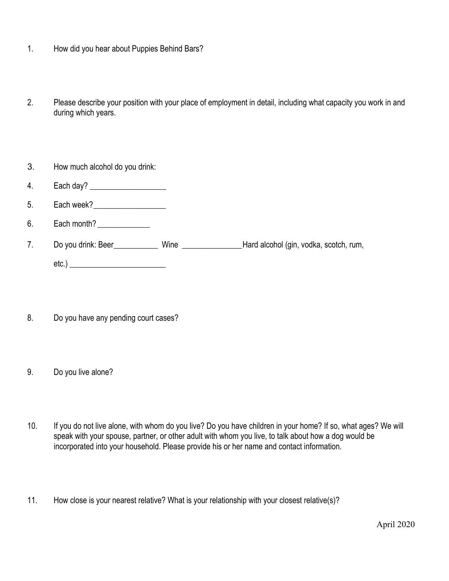- 1. How did you hear about Puppies Behind Bars?
- 2. Please describe your position with your place of employment in detail, including what capacity you work in and during which years.
- 3. How much alcohol do you drink:
- 4. Each day? \_\_\_\_\_\_\_\_\_\_\_\_\_\_\_\_\_\_\_
- 5. Each week?
- 6. Each month?
- 7. Do you drink: Beer\_\_\_\_\_\_\_\_\_\_\_ Wine \_\_\_\_\_\_\_\_\_\_\_\_\_\_\_Hard alcohol (gin, vodka, scotch, rum, etc.) \_\_\_\_\_\_\_\_\_\_\_\_\_\_\_\_\_\_\_\_\_\_\_\_
- 8. Do you have any pending court cases?
- 9. Do you live alone?
- 10. If you do not live alone, with whom do you live? Do you have children in your home? If so, what ages? We will speak with your spouse, partner, or other adult with whom you live, to talk about how a dog would be incorporated into your household. Please provide his or her name and contact information.
- 11. How close is your nearest relative? What is your relationship with your closest relative(s)?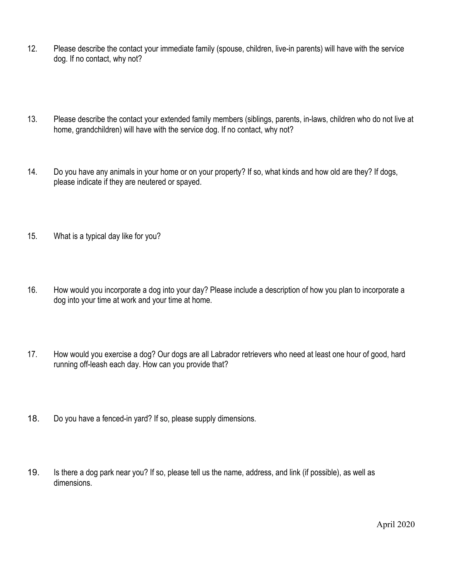- 12. Please describe the contact your immediate family (spouse, children, live-in parents) will have with the service dog. If no contact, why not?
- 13. Please describe the contact your extended family members (siblings, parents, in-laws, children who do not live at home, grandchildren) will have with the service dog. If no contact, why not?
- 14. Do you have any animals in your home or on your property? If so, what kinds and how old are they? If dogs, please indicate if they are neutered or spayed.
- 15. What is a typical day like for you?
- 16. How would you incorporate a dog into your day? Please include a description of how you plan to incorporate a dog into your time at work and your time at home.
- 17. How would you exercise a dog? Our dogs are all Labrador retrievers who need at least one hour of good, hard running off-leash each day. How can you provide that?
- 18. Do you have a fenced-in yard? If so, please supply dimensions.
- 19. Is there a dog park near you? If so, please tell us the name, address, and link (if possible), as well as dimensions.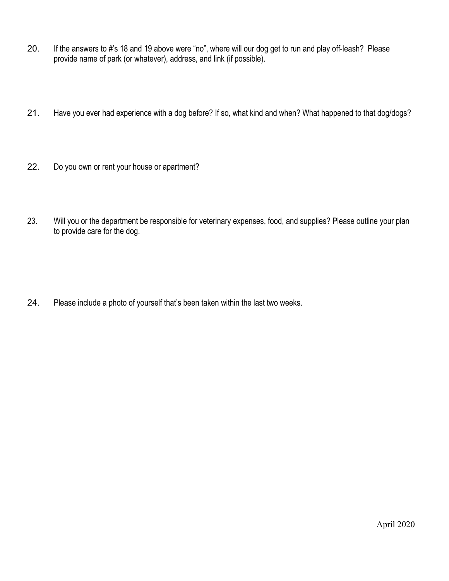- 20. If the answers to #'s 18 and 19 above were "no", where will our dog get to run and play off-leash? Please provide name of park (or whatever), address, and link (if possible).
- 21. Have you ever had experience with a dog before? If so, what kind and when? What happened to that dog/dogs?
- 22. Do you own or rent your house or apartment?
- 23. Will you or the department be responsible for veterinary expenses, food, and supplies? Please outline your plan to provide care for the dog.

24. Please include a photo of yourself that's been taken within the last two weeks.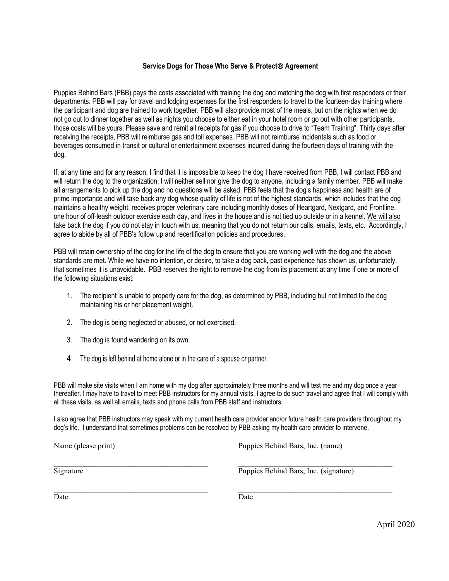### **Service Dogs for Those Who Serve & Protect**â **Agreement**

Puppies Behind Bars (PBB) pays the costs associated with training the dog and matching the dog with first responders or their departments. PBB will pay for travel and lodging expenses for the first responders to travel to the fourteen-day training where the participant and dog are trained to work together. PBB will also provide most of the meals, but on the nights when we do not go out to dinner together as well as nights you choose to either eat in your hotel room or go out with other participants, those costs will be yours. Please save and remit all receipts for gas if you choose to drive to "Team Training". Thirty days after receiving the receipts, PBB will reimburse gas and toll expenses. PBB will not reimburse incidentals such as food or beverages consumed in transit or cultural or entertainment expenses incurred during the fourteen days of training with the dog.

If, at any time and for any reason, I find that it is impossible to keep the dog I have received from PBB, I will contact PBB and will return the dog to the organization. I will neither sell nor give the dog to anyone, including a family member. PBB will make all arrangements to pick up the dog and no questions will be asked. PBB feels that the dog's happiness and health are of prime importance and will take back any dog whose quality of life is not of the highest standards, which includes that the dog maintains a healthy weight, receives proper veterinary care including monthly doses of Heartgard, Nextgard, and Frontline, one hour of off-leash outdoor exercise each day, and lives in the house and is not tied up outside or in a kennel. We will also take back the dog if you do not stay in touch with us, meaning that you do not return our calls, emails, texts, etc. Accordingly, I agree to abide by all of PBB's follow up and recertification policies and procedures.

PBB will retain ownership of the dog for the life of the dog to ensure that you are working well with the dog and the above standards are met. While we have no intention, or desire, to take a dog back, past experience has shown us, unfortunately, that sometimes it is unavoidable. PBB reserves the right to remove the dog from its placement at any time if one or more of the following situations exist:

- 1. The recipient is unable to properly care for the dog, as determined by PBB, including but not limited to the dog maintaining his or her placement weight.
- 2. The dog is being neglected or abused, or not exercised.
- 3. The dog is found wandering on its own.
- 4. The dog is left behind at home alone or in the care of a spouse or partner

PBB will make site visits when I am home with my dog after approximately three months and will test me and my dog once a year thereafter. I may have to travel to meet PBB instructors for my annual visits. I agree to do such travel and agree that I will comply with all these visits, as well all emails, texts and phone calls from PBB staff and instructors.

I also agree that PBB instructors may speak with my current health care provider and/or future health care providers throughout my dog's life. I understand that sometimes problems can be resolved by PBB asking my health care provider to intervene.

| Name (please print) | Puppies Behind Bars, Inc. (name)      |
|---------------------|---------------------------------------|
| Signature           | Puppies Behind Bars, Inc. (signature) |
|                     |                                       |

Date Date Date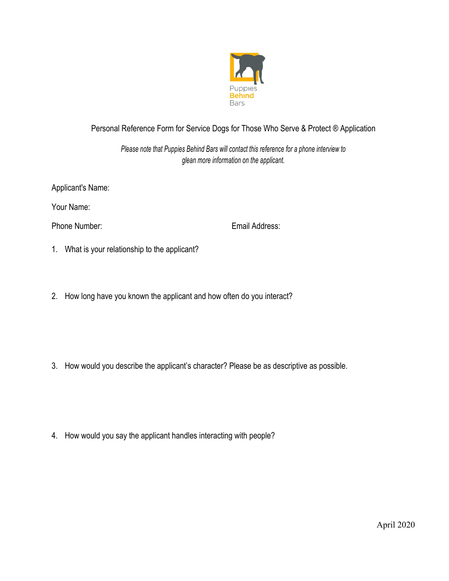

# Personal Reference Form for Service Dogs for Those Who Serve & Protect ® Application

*Please note that Puppies Behind Bars will contact this reference for a phone interview to glean more information on the applicant.*

Applicant's Name:

Your Name:

Phone Number: Email Address:

- 1. What is your relationship to the applicant?
- 2. How long have you known the applicant and how often do you interact?

3. How would you describe the applicant's character? Please be as descriptive as possible.

4. How would you say the applicant handles interacting with people?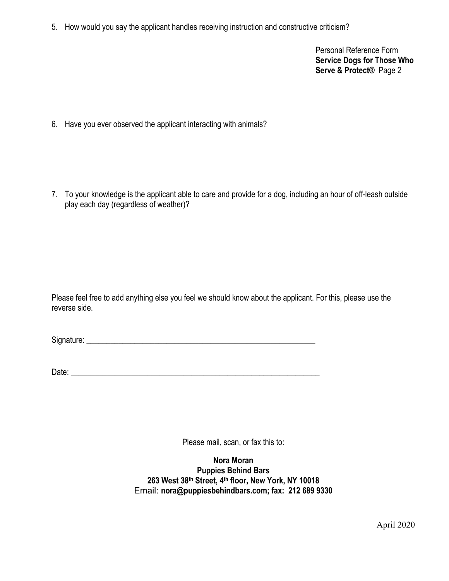5. How would you say the applicant handles receiving instruction and constructive criticism?

Personal Reference Form **Service Dogs for Those Who Serve & Protect®** Page 2

6. Have you ever observed the applicant interacting with animals?

7. To your knowledge is the applicant able to care and provide for a dog, including an hour of off-leash outside play each day (regardless of weather)?

Please feel free to add anything else you feel we should know about the applicant. For this, please use the reverse side.

Signature:

Date: \_\_\_\_\_\_\_\_\_\_\_\_\_\_\_\_\_\_\_\_\_\_\_\_\_\_\_\_\_\_\_\_\_\_\_\_\_\_\_\_\_\_\_\_\_\_\_\_\_\_\_\_\_\_\_\_\_\_\_\_\_\_

Please mail, scan, or fax this to:

**Nora Moran Puppies Behind Bars 263 West 38th Street, 4th floor, New York, NY 10018** Email: **nora@puppiesbehindbars.com; fax: 212 689 9330**

April 2020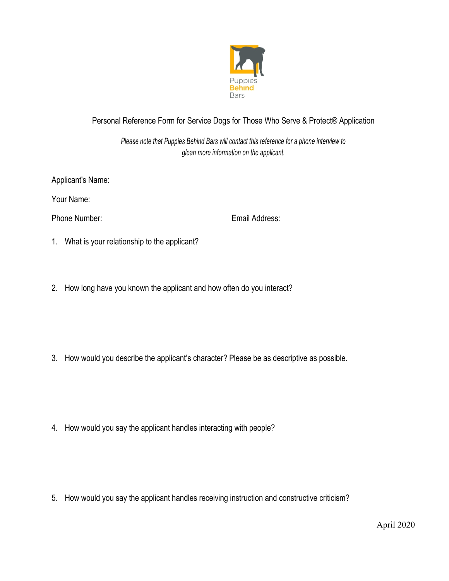

# Personal Reference Form for Service Dogs for Those Who Serve & Protect® Application

*Please note that Puppies Behind Bars will contact this reference for a phone interview to glean more information on the applicant.*

Applicant's Name:

Your Name:

Phone Number: Email Address:

- 1. What is your relationship to the applicant?
- 2. How long have you known the applicant and how often do you interact?

3. How would you describe the applicant's character? Please be as descriptive as possible.

4. How would you say the applicant handles interacting with people?

5. How would you say the applicant handles receiving instruction and constructive criticism?

April 2020